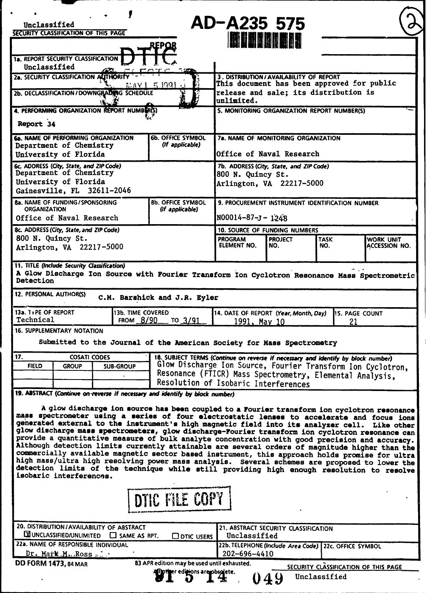|                                                                                                                      |                                         |                                             |                                                                                   | AD-A235 575                                                                          |                                                       |                                                          |                                                                                                                                                                                                   |  |  |
|----------------------------------------------------------------------------------------------------------------------|-----------------------------------------|---------------------------------------------|-----------------------------------------------------------------------------------|--------------------------------------------------------------------------------------|-------------------------------------------------------|----------------------------------------------------------|---------------------------------------------------------------------------------------------------------------------------------------------------------------------------------------------------|--|--|
| Unclassified<br>SECURITY CLASSIFICATION OF THIS PAGE                                                                 |                                         |                                             |                                                                                   |                                                                                      |                                                       |                                                          |                                                                                                                                                                                                   |  |  |
| ku bala akat k<br>REPOR                                                                                              |                                         |                                             |                                                                                   |                                                                                      |                                                       |                                                          |                                                                                                                                                                                                   |  |  |
|                                                                                                                      |                                         |                                             |                                                                                   |                                                                                      |                                                       |                                                          |                                                                                                                                                                                                   |  |  |
| <b>1a. REPORT SECURITY CLASSIFICATION</b><br>Unclassified                                                            |                                         |                                             |                                                                                   |                                                                                      |                                                       |                                                          |                                                                                                                                                                                                   |  |  |
| 2a. SECURITY CLASSIFICATION ALITHORITY                                                                               |                                         |                                             |                                                                                   |                                                                                      |                                                       |                                                          |                                                                                                                                                                                                   |  |  |
|                                                                                                                      |                                         |                                             | MAYI 5 1991                                                                       | 3. DISTRIBUTION/AVAILABILITY OF REPORT<br>This document has been approved for public |                                                       |                                                          |                                                                                                                                                                                                   |  |  |
|                                                                                                                      |                                         | 2b. DECLASSIFICATION / DOWNGRADING SCHEDULE |                                                                                   | release and sale; its distribution is                                                |                                                       |                                                          |                                                                                                                                                                                                   |  |  |
|                                                                                                                      |                                         |                                             |                                                                                   | unlimited.                                                                           |                                                       |                                                          |                                                                                                                                                                                                   |  |  |
|                                                                                                                      |                                         | 4. PERFORMING ORGANIZATION REPORT NUMBER(S) |                                                                                   | 5. MONITORING ORGANIZATION REPORT NUMBER(S)                                          |                                                       |                                                          |                                                                                                                                                                                                   |  |  |
| Report 34                                                                                                            |                                         |                                             |                                                                                   |                                                                                      |                                                       |                                                          |                                                                                                                                                                                                   |  |  |
|                                                                                                                      |                                         | <b>6a. NAME OF PERFORMING ORGANIZATION</b>  | <b>6b. OFFICE SYMBOL</b>                                                          | <b>7a. NAME OF MONITORING ORGANIZATION</b>                                           |                                                       |                                                          |                                                                                                                                                                                                   |  |  |
|                                                                                                                      | Department of Chemistry                 |                                             | (If applicable)                                                                   | Office of Naval Research                                                             |                                                       |                                                          |                                                                                                                                                                                                   |  |  |
|                                                                                                                      | University of Florida                   |                                             |                                                                                   |                                                                                      |                                                       |                                                          |                                                                                                                                                                                                   |  |  |
| 6c. ADDRESS (City, State, and ZIP Code)                                                                              | Department of Chemistry                 |                                             |                                                                                   | 7b. ADDRESS (City, State, and ZIP Code)                                              |                                                       |                                                          |                                                                                                                                                                                                   |  |  |
|                                                                                                                      | University of Florida                   |                                             |                                                                                   | 800 N. Quincy St.                                                                    |                                                       |                                                          |                                                                                                                                                                                                   |  |  |
|                                                                                                                      |                                         | Gainesville, FL 32611-2046                  |                                                                                   | Arlington, VA 22217-5000                                                             |                                                       |                                                          |                                                                                                                                                                                                   |  |  |
|                                                                                                                      | 8a. NAME OF FUNDING/SPONSORING          |                                             | <b>8b. OFFICE SYMBOL</b>                                                          | 9. PROCUREMENT INSTRUMENT IDENTIFICATION NUMBER                                      |                                                       |                                                          |                                                                                                                                                                                                   |  |  |
| <b>ORGANIZATION</b>                                                                                                  |                                         |                                             | (If applicable)                                                                   |                                                                                      |                                                       |                                                          |                                                                                                                                                                                                   |  |  |
|                                                                                                                      | Office of Naval Research                |                                             |                                                                                   | N00014-87-J-1248                                                                     |                                                       |                                                          |                                                                                                                                                                                                   |  |  |
|                                                                                                                      | 8c. ADDRESS (City, State, and ZIP Code) |                                             |                                                                                   | <b>10. SOURCE OF FUNDING NUMBERS</b>                                                 |                                                       |                                                          |                                                                                                                                                                                                   |  |  |
| 800 N. Quincy St.                                                                                                    |                                         |                                             |                                                                                   | <b>PROGRAM</b>                                                                       | <b>PROJECT</b>                                        | <b>TASK</b>                                              | WORK UNIT                                                                                                                                                                                         |  |  |
|                                                                                                                      | Arlington, VA 22217-5000                |                                             |                                                                                   | ELEMENT NO.                                                                          | NO.                                                   | NO.                                                      | ACCESSION NO.                                                                                                                                                                                     |  |  |
| 11. TITLE (Include Security Classification)                                                                          |                                         |                                             |                                                                                   |                                                                                      |                                                       |                                                          |                                                                                                                                                                                                   |  |  |
|                                                                                                                      |                                         |                                             |                                                                                   |                                                                                      |                                                       |                                                          | A Glow Discharge Ion Source with Fourier Transform Ion Cyclotron Resonance Mass Spectrometric                                                                                                     |  |  |
| Detection                                                                                                            |                                         |                                             |                                                                                   |                                                                                      |                                                       |                                                          |                                                                                                                                                                                                   |  |  |
| 12. PERSONAL AUTHOR(S)                                                                                               |                                         |                                             |                                                                                   |                                                                                      |                                                       |                                                          |                                                                                                                                                                                                   |  |  |
|                                                                                                                      |                                         |                                             | C.M. Barshick and J.R. Eyler                                                      |                                                                                      |                                                       |                                                          |                                                                                                                                                                                                   |  |  |
| 13a. TyPE OF REPORT                                                                                                  |                                         | 13b. TIME COVERED                           |                                                                                   |                                                                                      | 14. DATE OF REPORT (Year, Month, Day)                 |                                                          | <b>115. PAGE COUNT</b>                                                                                                                                                                            |  |  |
| Technical                                                                                                            |                                         | FROM 8/90                                   | то 3/91                                                                           | 1991, May 10                                                                         |                                                       |                                                          | 21                                                                                                                                                                                                |  |  |
|                                                                                                                      | <b>16. SUPPLEMENTARY NOTATION</b>       |                                             |                                                                                   |                                                                                      |                                                       |                                                          |                                                                                                                                                                                                   |  |  |
|                                                                                                                      |                                         |                                             | Submitted to the Journal of the American Society for Mass Spectrometry            |                                                                                      |                                                       |                                                          |                                                                                                                                                                                                   |  |  |
| 17.                                                                                                                  | <b>COSATI CODES</b>                     |                                             | 18. SUBJECT TERMS (Continue on reverse if necessary and identify by block number) |                                                                                      |                                                       |                                                          |                                                                                                                                                                                                   |  |  |
| <b>FIELD</b>                                                                                                         | <b>GROUP</b>                            | <b>SUB-GROUP</b>                            |                                                                                   |                                                                                      |                                                       |                                                          | Glow Discharge Ion Source, Fourier Transform Ion Cyclotron,                                                                                                                                       |  |  |
|                                                                                                                      |                                         |                                             |                                                                                   |                                                                                      |                                                       | Resonance (FTICR) Mass Spectrometry, Elemental Analysis, |                                                                                                                                                                                                   |  |  |
|                                                                                                                      |                                         |                                             | Resolution of Isobaric Interferences                                              |                                                                                      |                                                       |                                                          |                                                                                                                                                                                                   |  |  |
|                                                                                                                      |                                         |                                             | 19. ABSTRACT (Continue on reverse if necessary and identify by block number)      |                                                                                      |                                                       |                                                          |                                                                                                                                                                                                   |  |  |
|                                                                                                                      |                                         |                                             |                                                                                   |                                                                                      |                                                       |                                                          | A glow discharge ion source has been coupled to a Fourier transform ion cyclotron resonance                                                                                                       |  |  |
|                                                                                                                      |                                         |                                             |                                                                                   |                                                                                      |                                                       |                                                          | mass spectrometer using a series of four electrostatic lenses to accelerate and focus ions                                                                                                        |  |  |
|                                                                                                                      |                                         |                                             |                                                                                   |                                                                                      |                                                       |                                                          | generated external to the instrument's high magnetic field into its analyzer cell. Like other                                                                                                     |  |  |
|                                                                                                                      |                                         |                                             |                                                                                   |                                                                                      |                                                       |                                                          | glow discharge mass spectrometers, glow discharge-Fourier transform ion cyclotron resonance can<br>provide a quantitative measure of bulk analyte concentration with good precision and accuracy. |  |  |
|                                                                                                                      |                                         |                                             |                                                                                   |                                                                                      |                                                       |                                                          | Although detection limits currently attainable are several orders of magnitude higher than the                                                                                                    |  |  |
|                                                                                                                      |                                         |                                             |                                                                                   |                                                                                      |                                                       |                                                          | commercially available magnetic sector based instrument, this approach holds promise for ultra                                                                                                    |  |  |
| high mass/ultra high resolving power mass analysis. Several schemes are proposed to lower the                        |                                         |                                             |                                                                                   |                                                                                      |                                                       |                                                          |                                                                                                                                                                                                   |  |  |
| detection limits of the technique while still providing high enough resolution to resolve<br>isobaric interferences. |                                         |                                             |                                                                                   |                                                                                      |                                                       |                                                          |                                                                                                                                                                                                   |  |  |
|                                                                                                                      |                                         |                                             |                                                                                   |                                                                                      |                                                       |                                                          |                                                                                                                                                                                                   |  |  |
|                                                                                                                      |                                         |                                             | DTIC FILE COPY                                                                    |                                                                                      |                                                       |                                                          |                                                                                                                                                                                                   |  |  |
|                                                                                                                      |                                         |                                             |                                                                                   |                                                                                      |                                                       |                                                          |                                                                                                                                                                                                   |  |  |
|                                                                                                                      |                                         |                                             |                                                                                   |                                                                                      |                                                       |                                                          |                                                                                                                                                                                                   |  |  |
| 20. DISTRIBUTION/AVAILABILITY OF ABSTRACT<br>21. ABSTRACT SECURITY CLASSIFICATION                                    |                                         |                                             |                                                                                   |                                                                                      |                                                       |                                                          |                                                                                                                                                                                                   |  |  |
| <b>EX UNCLASSIFIED/UNLIMITED</b><br>Unclassified<br>$\Box$ SAME AS RPT.<br>$\Box$ otic users                         |                                         |                                             |                                                                                   |                                                                                      |                                                       |                                                          |                                                                                                                                                                                                   |  |  |
|                                                                                                                      | 22a. NAME OF RESPONSIBLE INDIVIDUAL     |                                             |                                                                                   |                                                                                      | 22b. TELEPHONE (Include Area Code) 22c. OFFICE SYMBOL |                                                          |                                                                                                                                                                                                   |  |  |
| 202-696-4410<br>Dr. Mark M. Ross                                                                                     |                                         |                                             |                                                                                   |                                                                                      |                                                       |                                                          |                                                                                                                                                                                                   |  |  |
| <b>DD FORM 1473, 84 MAR</b>                                                                                          |                                         |                                             | 83 APR edition may be used until exhausted.                                       |                                                                                      |                                                       |                                                          | SECURITY CLASSIFICATION OF THIS PAGE                                                                                                                                                              |  |  |
|                                                                                                                      |                                         |                                             | All primer editions are possiete.                                                 |                                                                                      | 049                                                   | Unclassified                                             |                                                                                                                                                                                                   |  |  |
|                                                                                                                      |                                         |                                             |                                                                                   |                                                                                      |                                                       |                                                          |                                                                                                                                                                                                   |  |  |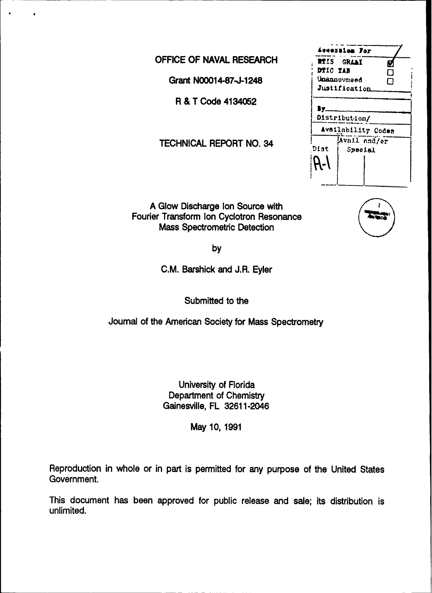**OFFICE OF NAVAL RESEARCH** 

Grant **N00014-87-J-1248** 

**R & T Code 4134052** 

**TECHNICAL REPORT NO. 34** 

**A** Glow Discharge Ion Source with Fourier Transform Ion Cyclotron Resonance Mass Spectrometric Detection

**by**

**C.M.** Barshick and J.R. Eyler

Submitted to the

Journal of the American Society for Mass Spectrometry

University of Florida Department of Chemistry Gainesville, FL **32611-2046**

May **10, 1991**

Reproduction in whole or in part is permitted for any purpose of the United States Government.

This document has been approved for public release and sale; its distribution is unlimited.

|                                     | Accession For |  |  |  |  |  |  |
|-------------------------------------|---------------|--|--|--|--|--|--|
| <b>NTIS GRAAI</b>                   | V             |  |  |  |  |  |  |
| DTIC TAB                            | П             |  |  |  |  |  |  |
| Unannovnoed                         |               |  |  |  |  |  |  |
| Justification                       |               |  |  |  |  |  |  |
| Distribution/<br>Availability Codes |               |  |  |  |  |  |  |
| Avail and/er                        |               |  |  |  |  |  |  |
| Dist                                | Special       |  |  |  |  |  |  |
|                                     |               |  |  |  |  |  |  |
|                                     |               |  |  |  |  |  |  |

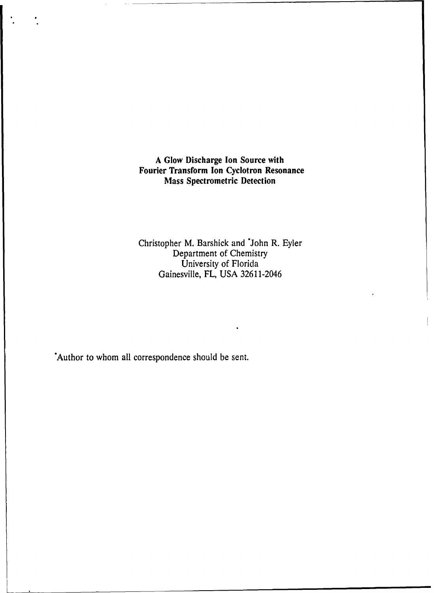**A Glow Discharge Ion Source with Fourier Transform Ion Cyclotron Resonance Mass Spectrometric Detection**

Christopher M. Barshick and \*John R. Eyler Department of Chemistry University of Florida Gainesville, FL, USA 32611-2046

Author to whom all correspondence should be sent.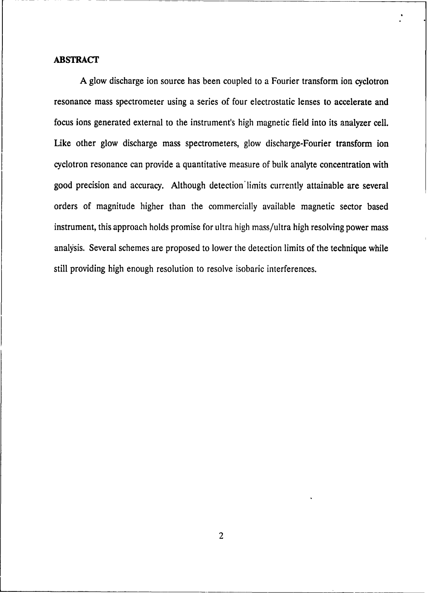#### ABSTRACT

A glow discharge ion source has been coupled to a Fourier transform ion cyclotron resonance mass spectrometer using a series of four electrostatic lenses to accelerate and focus ions generated external to the instrument's high magnetic field into its analyzer cell. Like other glow discharge mass spectrometers, glow discharge-Fourier transform ion cyclotron resonance can provide a quantitative measure of bulk analyte concentration with good precision and accuracy. Although detection limits currently attainable are several orders of magnitude higher than the commercially available magnetic sector based instrument, this approach holds promise for ultra high mass/ultra high resolving power mass analysis. Several schemes are proposed to lower the detection limits of the technique while still providing high enough resolution to resolve isobaric interferences.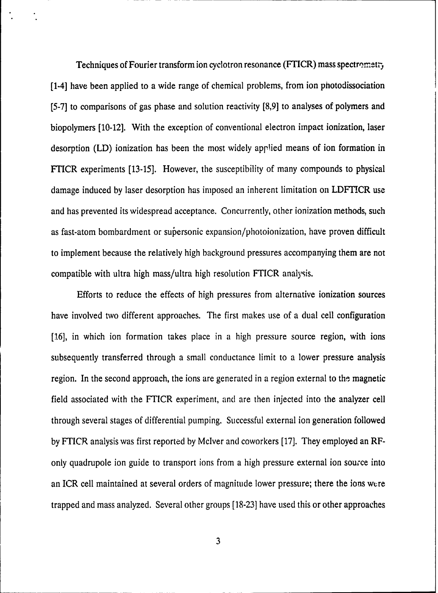Techniques of Fourier transform ion cyclotron resonance (FTICR) mass spectrometry [1-4] have been applied to a wide range of chemical problems, from ion photodissociation [5-7] to comparisons of gas phase and solution reactivity [8,9] to analyses of polymers and biopolymers [10-12]. With the exception of conventional electron impact ionization, laser desorption (LD) ionization has been the most widely applied means of ion formation in FTICR experiments [13-15]. However, the susceptibility of many compounds to physical damage induced by laser desorption has imposed an inherent limitation on LDFTICR use and has prevented its widespread acceptance. Concurrently, other ionization methods, such as fast-atom bombardment or sujersonic expansion/photoionization, have proven difficult to implement because the relatively high background pressures accompanying them are not compatible with ultra high mass/ultra high resolution FTICR analysis.

Efforts to reduce the effects of high pressures from alternative ionization sources have involved two different approaches. The first makes use of a dual cell configuration [16], in which ion formation takes place in a high pressure source region, with ions subsequently transferred through a small conductance limit to a lower pressure analysis region. In the second approach, the ions are generated in a region external to the magnetic field associated with the FTICR experiment, and are then injected into the analyzer cell through several stages of differential pumping. Successful external ion generation followed by FTICR analysis was first reported by Mclver and coworkers [17]. They employed an RFonly quadrupole ion guide to transport ions from a high pressure external ion source into an ICR cell maintained at several orders of magnitude lower pressure; there the ions were trapped and mass analyzed. Several other groups [18-23] have used this or other approaches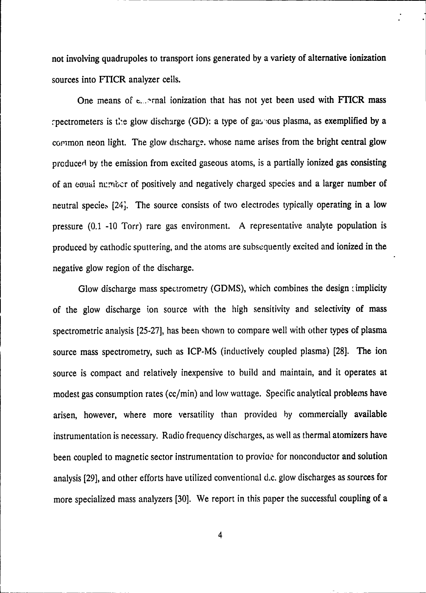not involving quadrupoles to transport ions generated by a variety of alternative ionization sources into FTICR analyzer cells.

One means of -..- -rnal ionization that has not yet been used with FTICR mass rpectrometers is the glow discharge (GD): a type of gas jous plasma, as exemplified by a common neon light. The glow discharge. whose name arises from the bright central glow produced by the emission from excited gaseous atoms, is a partially ionized gas consisting of an eaual nuribcr of positively and negatively charged species and a larger number of neutral specie, [241. The source consists of two electrodes typically operating in a low pressure (0.1 -10 Torr) rare gas environment. A representative analyte population is produced by cathodic sputtering, and the atoms are subsequently excited and ionized in the negative glow region of the discharge.

Glow discharge mass spectrometry (GDMS), which combines the design (implicity of the glow discharge ion source with the high sensitivity and selectivity of mass spectrometric analysis [25-27], has been shown to compare well with other types of plasma source mass spectrometry, such as ICP-MS (inductively coupled plasma) [28]. The ion source is compact and relatively inexpensive to build and maintain, and it operates at modest gas consumption rates (cc/min) and low wattage. Specific analytical problems have arisen, however, where more versatility than provided by commercially available instrumentation is necessary. Radio frequency discharges, as well as thermal atomizers have been coupled to magnetic sector instrumentation to provide for nonconductor and solution analysis [29], and other efforts have utilized conventional d.c. glow discharges as sources for more specialized mass analyzers [30]. We report in this paper the successful coupling of a

4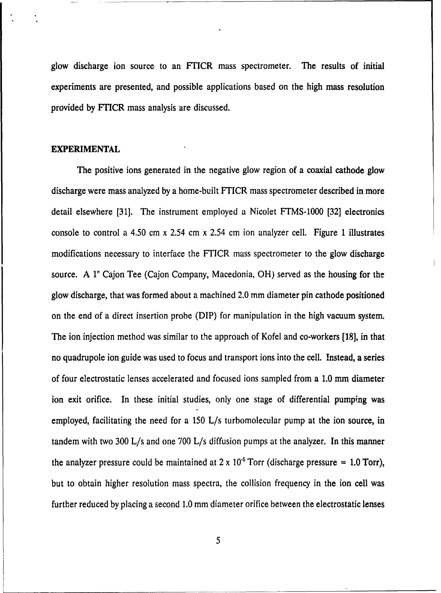glow discharge ion source to an FTICR mass spectrometer. The results of initial experiments are presented, and possible applications based on the high mass resolution provided by FTICR mass analysis are discussed.

#### **EXPERIMENTAL**

The positive ions generated in the negative glow region of a coaxial cathode glow discharge were mass analyzed by a home-built FTICR mass spectrometer described in more detail elsewhere [31]. The instrument employed a Nicolet FTMS-1000 [32] electronics console to control a 4.50 cm x 2.54 cm x 2.54 cm ion analyzer cell. Figure 1 illustrates modifications necessary to interface the FTICR mass spectrometer to the glow discharge source. A 1" Cajon Tee (Cajon Company, Macedonia, OH) served as the housing for the glow discharge, that was formed about a machined 2.0 mm diameter pin cathode positioned on the end of a direct insertion probe (DIP) for manipulation in the high vacuum system. The ion injection method was similar to the approach of Kofel and co-workers [18], in that no quadrupole ion guide was used to focus and transport ions into the cell. Instead, a series of four electrostatic lenses accelerated and focused ions sampled from a 1.0 mm diameter ion exit orifice. In these initial studies, only one stage of differential pumping was employed, facilitating the need for a 150 L/s turbomolecular pump at the ion source, in tandem with two 300 L/s and one 700 L/s diffusion pumps at the analyzer. In this manner the analyzer pressure could be maintained at  $2 \times 10^{-6}$  Torr (discharge pressure = 1.0 Torr), but to obtain higher resolution mass spectra, the collision frequency in the ion cell was further reduced by placing a second 1.0 mm diameter orifice between the electrostatic lenses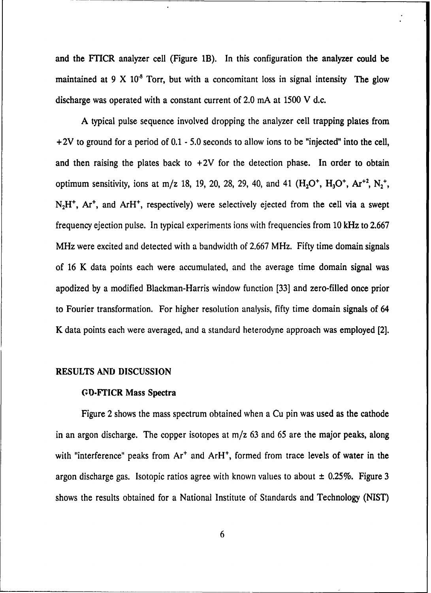and the FTICR analyzer cell (Figure 1B). In this configuration the analyzer could be maintained at 9 X **10"** Torr, but with a concomitant loss in signal intensity The glow discharge was operated with a constant current of 2.0 mA at 1500 V d.c.

A typical pulse sequence involved dropping the analyzer cell trapping plates from +2V to ground for a period of 0.1 - 5.0 seconds to allow ions to be "injected" into the cell, and then raising the plates back to  $+2V$  for the detection phase. In order to obtain optimum sensitivity, ions at m/z 18, 19, 20, 28, 29, 40, and 41  $(H_2O^+, H_3O^+, Ar^{+2}, N_2^+,$ N<sub>2</sub>H<sup>+</sup>, Ar<sup>+</sup>, and ArH<sup>+</sup>, respectively) were selectively ejected from the cell via a swept frequency ejection pulse. In typical experiments ions with frequencies from 10 kHz to 2.667 MHz were excited and detected with a bandwidth of 2.667 MHz. Fifty time domain signals of 16 K data points each were accumulated, and the average time domain signal was apodized by a modified Blackman-Harris window function [33] and zero-filled once prior to Fourier transformation. For higher resolution analysis, fifty time domain signals of 64 K data points each were averaged, and a standard heterodyne approach was employed [2].

#### **RESULTS AND DISCUSSION**

#### **GD-FTICR Mass Spectra**

Figure 2 shows the mass spectrum obtained when a Cu pin was used as the cathode in an argon discharge. The copper isotopes at  $m/z$  63 and 65 are the major peaks, along with "interference" peaks from Ar<sup>+</sup> and ArH<sup>+</sup>, formed from trace levels of water in the argon discharge gas. Isotopic ratios agree with known values to about  $\pm$  0.25%. Figure 3 shows the results obtained for a National Institute of Standards and Technology (NIST)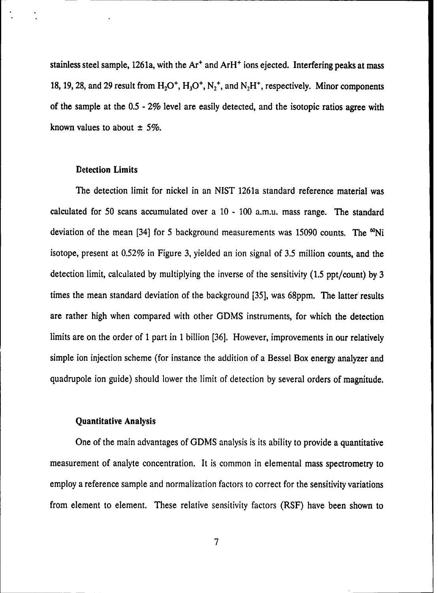stainless steel sample, 1261a, with the Ar<sup>+</sup> and ArH<sup>+</sup> ions ejected. Interfering peaks at mass 18, 19, 28, and 29 result from  $H_2O^+$ ,  $H_3O^+$ ,  $N_2^+$ , and  $N_2H^+$ , respectively. Minor components of the sample at the **0.5 -** 2% level are easily detected, and the isotopic ratios agree with known values to about **± 5%.**

### Detection Limits

The detection limit for nickel in an NIST 1261a standard reference material was calculated for **50** scans accumulated over a 10 **-** 100 a.m.u. mass range. The standard deviation of the mean [34] for 5 background measurements was 15090 counts. The <sup>60</sup>Ni isotope, present at 0.52% in Figure **3,** yielded an ion signal of 3.5 million counts, and the detection limit, calculated **by** multiplying the inverse of the sensitivity **(1.5** ppt/count) **by** 3 times the mean standard deviation of the background [35], was 68ppm. The latter results are rather high when compared with other GDMS instruments, for which the detection limits are on the order of **1** part in **1** billion [36]. However, improvements in our relatively simple ion injection scheme (for instance the addition of a Bessel Box energy analyzer and quadrupole ion guide) should lower the limit of detection by several orders of magnitude.

## Quantitative Analysis

One of the main advantages of GDMS analysis is its ability to provide a quantitative measurement of analyte concentration. It is common in elemental mass spectrometry to employ a reference sample and normalization factors to correct for the sensitivity variations from element to element. These relative sensitivity factors (RSF) have been shown to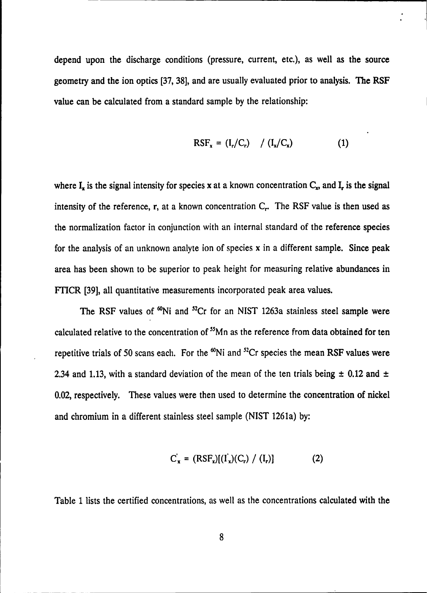depend upon the discharge conditions (pressure, current, etc.), as well as the source geometry and the ion optics **[37, 38],** and are usually evaluated prior to analysis. **The** RSF value can be calculated from a standard sample **by** the relationship:

$$
RSF_x = (I_r/C_r) / (I_x/C_x)
$$
 (1)

where  $I_x$  is the signal intensity for species x at a known concentration  $C_x$ , and  $I_r$  is the signal intensity of the reference, r, at a known concentration C<sub>r</sub>. The RSF value is then used as the normalization factor in conjunction with an internal standard of the reference species for the analysis of an unknown analyte ion of species x in a different sample. Since peak area has been shown to be superior to peak height for measuring relative abundances in **FTICR [39],** all quantitative measurements incorporated peak area values.

The RSF values of <sup>60</sup>Ni and <sup>52</sup>Cr for an NIST 1263a stainless steel sample were calculated relative to the concentration of <sup>55</sup>Mn as the reference from data obtained for ten repetitive trials of 50 scans each. For the <sup>60</sup>Ni and <sup>52</sup>Cr species the mean RSF values were 2.34 and **1.13,** with a standard deviation of the mean of the ten trials being **± 0.12** and **±** 0.02, respectively. These values were then used to determine the concentration of nickel and chromium in a different stainless steel sample **(NIST** 1261a) **by:**

$$
C_x = (RSF_x)[(I_x)(C_r) / (I_r)]
$$
 (2)

Table **1** lists the certified concentrations, as well as the concentrations calculated with the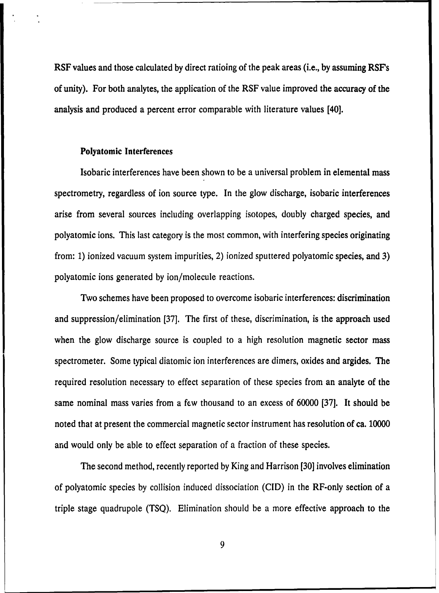RSF values and those calculated by direct ratioing of the peak areas (i.e., by assuming RSF's of unity). For both analytes, the application of the RSF value improved the accuracy of the analysis and produced a percent error comparable with literature values [40].

#### Polyatomic Interferences

Isobaric interferences have been shown to be a universal problem in elemental mass spectrometry, regardless of ion source type. In the glow discharge, isobaric interferences arise from several sources including overlapping isotopes, doubly charged species, and polyatomic ions. This last category is the most common, with interfering species originating from: **1)** ionized vacuum system impurities, 2) ionized sputtered polyatomic species, and **3)** polyatomic ions generated **by** ion/molecule reactions.

Two schemes have been proposed to overcome isobaric interferences: discrimination and suppression/elimination **[37].** The first of these, discrimination, is the approach used when the glow discharge source is coupled to a high resolution magnetic sector mass spectrometer. Some typical diatomic ion interferences are dimers, oxides and argides. The required resolution necessary to effect separation of these species from an analyte of the same nominal mass varies from a few thousand to an excess of **60000 [37].** It should be noted that at present the commercial magnetic sector instrument has resolution of ca. **10000** and would only be able to effect separation of a fraction of these species.

The second method, recently reported **by** King and Harrison **[301** involves elimination of polyatomic species **by** collision induced dissociation **(CID)** in the RF-only section of a triple stage quadrupole **(TSQ).** Elimination should be a more effective approach to the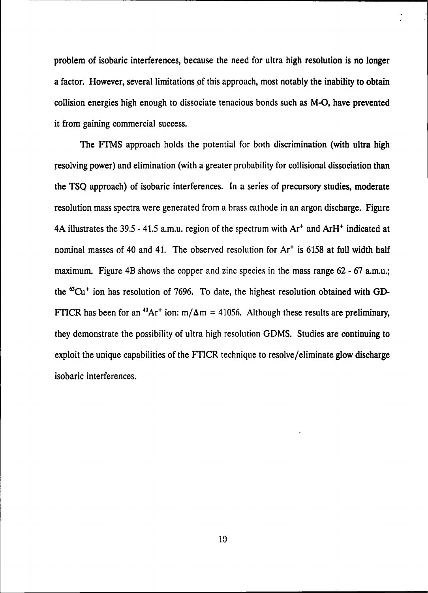problem of isobaric interferences, because the need for ultra high resolution is no longer a factor. However, several limitations of this approach, most notably the inability to obtain collision energies high enough to dissociate tenacious bonds such as M-O, have prevented it from gaining commercial success.

The FTMS approach holds the potential for both discrimination (with ultra high resolving power) and elimination (with a greater probability for collisional dissociation than the **TSQ** approach) of isobaric interferences. In a series of precursory studies, moderate resolution mass spectra were generated from a brass cathode in an argon discharge. Figure 4A illustrates the 39.5 - 41.5 a.m.u. region of the spectrum with  $Ar<sup>+</sup>$  and  $ArH<sup>+</sup>$  indicated at nominal masses of 40 and 41. The observed resolution for Ar<sup>+</sup> is 6158 at full width half maximum. Figure 4B shows the copper and zinc species in the mass range 62 - 67 a.m.u.; the **63Cu+** ion has resolution of 7696. To date, the highest resolution obtained with **GD-**FTICR has been for an <sup>40</sup>Ar<sup>+</sup> ion: m/ $\Delta$ m = 41056. Although these results are preliminary, they demonstrate the possibility of ultra high resolution GDMS. Studies are continuing to exploit the unique capabilities of the FTICR technique to resolve/eliminate glow discharge isobaric interferences.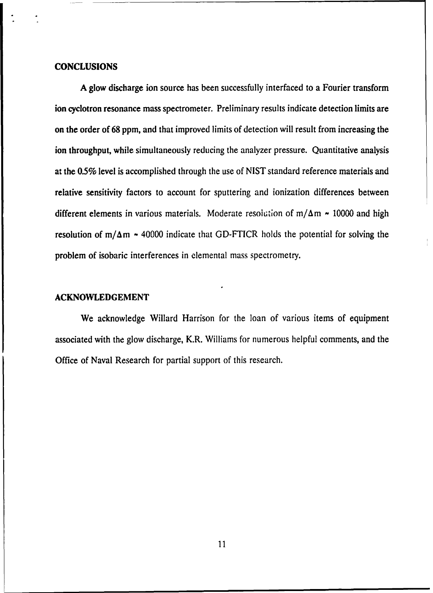#### **CONCLUSIONS**

**A** glow discharge ion source has been successfully interfaced to a Fourier transform ion cyclotron resonance mass spectrometer. Preliminary results indicate detection limits are on the order of **68** ppm, and that improved limits of detection will result from increasing the ion throughput, while simultaneously reducing the analyzer pressure. Quantitative analysis at the **0.5%** level is accomplished through the use of **NIST** standard reference materials and relative sensitivity factors to account for sputtering and ionization differences between different elements in various materials. Moderate resolution of  $m/\Delta m \sim 10000$  and high resolution of  $m/\Delta m \sim 40000$  indicate that GD-FTICR holds the potential for solving the problem of isobaric interferences in elemental mass spectrometry.

#### **ACKNOWLEDGEMENT**

We acknowledge Willard Harrison for the loan of various items of equipment associated with the glow discharge, K.R. Williams for numerous helpful comments, and the Office of Naval Research for partial support of this research.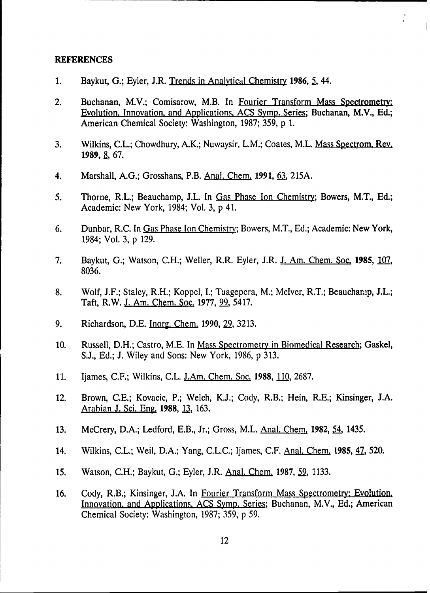#### **REFERENCES**

- **1.** Baykut, G.; Eyler, J.R. Trends in Analytical Chemistry 1986, 5, 44.
- 2. Buchanan, M.V.; Comisarow, M.B. In Fourier Transform Mass Spectrometry: Evolution. Innovation, and Applications. **ACS** Symp. Series; Buchanan, M.V., **Ed.;** American Chemical Society: Washington, **1987; 359, p 1.**
- **3.** Wilkins, **C.L.;** Chowdhury, A.K.; Nuwaysir, L.M.; Coates, M.L. Mass Spectrom, Rev. **1989, 8, 67.**
- 4. Marshall, **A.G.;** Grosshans, P.B. Anal. Chem. **1991, 63, 215A.**
- 5. Thorne, R.L.; Beauchamp, J.L. In Gas Phase Ion Chemistry; Bowers, M.T., Ed.; Academic: New York, 1984; Vol. **3, p** 41.
- **6.** Dunbar, R.C. In Gas Phase Ion Chemistry; Bowvers, M.T., **Ed.;** Academic: New York, 1984; Vol. **3, p 129.**
- **7.** Baykut, **G.;** Watson, **C.H.;** Weller, R.R. Eyler, J.R. **J.** Am. Chem. Soc. **1985, 107, 8036.**
- **8.** Wolf, **J.F.;** Staley, R.H.; Koppel, **I.;** Taagepera, M.; Mclver, R.T.; Beaucham.p, **J.L.;** Taft, R.W. **J.** Am. Chem. Soc. **1977, 99,** *5417.*
- **9.** Richardson, **D.E.** Inorg. Chem. **1990, 29, 3213.**
- 10. Russell, D.H.; Castro, M.E. In Mass Spectrometry in Biomedical Research; Gaskel, **S.J., Ed.; J.** Wiley and Sons: New York, **1986, p 313.**
- **11.** Ijames, **C.F.;** Wilkins, **C.L.** J.Am. Chem. Soc. **1988, 110, 2687.**
- 12. Brown, **C.E.;** Kovacic, P.; Welch, **K.J.;** Cody, R.B.; Hein, R.E.; Kinsinger, **J.A.** Arabian **J.** Sci. Eng. **1988, 13, 163.**
- 13. McCrery, D.A.; Ledford, E.B., Jr.; Gross, M.L. Anal. Chem. 1982, 54, 1435.
- 14. Wilkins, **C.L.;** Weil, **D.A.;** Yang, **C.L.C.;** Ijames, **C.F.** Anal. Chem, **1985, 42,520.**
- *15.* Watson, **C.H.;** Baykut, **G.;** Eyler, J.R. Anal. Chem., **1987, 9, 1133.**
- **16.** Cody, R.B.; Kinsinger, **J.A.** In Fourier Transform Mass Spectrometry: Evolution. Innovation, and Applications, **ACS** Symp. Series; Buchanan, M.V., **Ed.;** American Chemical Society: Washington, **1987; 359, p 59.**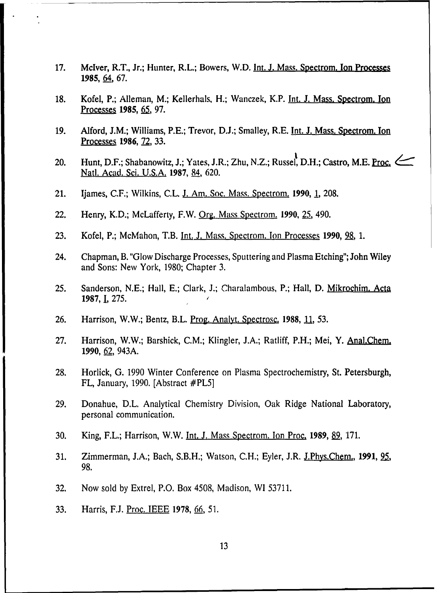- **17.** Mclver, R.T., Jr.; Hunter, R.L.; Bowers, W.D. Int. **J.** Mass. Spectrom. Ion Processes **1985,** 64, **67.**
- **18.** Kofel, P.; Alleman, M.; Kellerhals, H.; Wanczek, K.P. Int. **J.** Mass. Spectrom. Ion Processes **1985, 65, 97.**
- **19.** Alford, **J.M.;** Williams, P.E.; Trevor, **D.J.;** Smalley, R.E. Tnt. **J.** Mass. Spectrom. Ton Processes **1986, 72, 33.**
- 20. Hunt, D.F.; Shabanowitz, J.; Yates, J.R.; Zhu, N.Z.; Russel, D.H.; Castro, M.E. Proc. Natl. Acad. Sci, **U.S.A. 1987,** 84, **620.**
- 21. Ijames, **C.F.;** Wilkins, **C.L. J.** Am. Soc. Mass. Spectrom. **1990, 1, 208.**
- 22. Henry, K.D.; McLafferty, F.W. Org. Mass Spectrom. **1990, 251** 490.
- 23. **Kofel, P.; McMahon, T.B. Int. J. Mass. Spectrom. Ion Processes 1990, 28, 1.**
- 24. Chapman, B. "Glow Discharge Processes, Sputtering and Plasma Etching"; John Wiley and Sons: New York, **1980;** Chapter **3.**
- *25.* Sanderson, **N.E.;** Hall, **E.;** Clark, **J.;** Charalambous, P.; Hall, **D.** Mikrochim. Acta **1987, 1, 275.**
- 26. **Harrison, W.W.; Bentz, B.L. Prog. Analyt. Spectrosc. 1988, 11, 53.**
- **27.** Harrison, W.W.; Barshick, **C.M.;** Klingler, **J.A.;** Ratliff, P.H.; Mei, Y. Anal.Chem. **1990, 62,** 943A.
- **28.** Horlick, **G. 1990** Winter Conference on Plasma Spectrochemistry, St. Petersburgh, FL, January, **1990.** [Abstract #PL5]
- **29.** Donahue, D.L. Analytical Chemistry Division, Oak Ridge National Laboratory, personal communication.
- **30.** King, F.L.; Harrison, W.W. Tnt. **J.** Mass Spectrom. Ion Proc. **1989, 9, 171.**
- **31.** Zimmerman, **J.A.;** Bach, S.B.H.; Watson, **C.H.;** Eyler, J.R. J.Phys.Chem., **1991, 25, 98.**
- **32.** Now sold **by** Extrel, P.O. Box 4508, Madison, WI **53711.**
- **33.** Harris, **F.J.** Proc. **IEEE 1978, 66~,** *51.*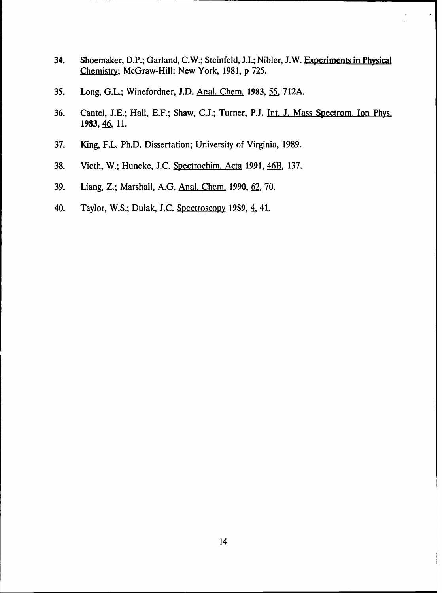- 34. Shoemaker, D.P.; Garland, C.W.; Steinfeld, **1.1.;** Nihler, **J.W.** Experiments in Physical Chemistry; McGraw-Hill: New York, **1981, p** *725.*
- *35.* Long, **G.L.;** Winefordner, **J.D.** Anal. Chem. **1983,** *55,* **712A.**
- **36.** Cantel, **J.E.;** Hall, **E.F.;** Shaw, **CIJ;** Turner, **P.J.** Int. **J.** Mass Spectrom. Ion Phys. **1983**, **46**, **11**.
- **37.** King, F.L. Ph.D. Dissertation; University of Virginia, **1989.**
- **38.** Vieth, W.; Huneke, **J.C.** Spectrochim. Acta **1991,** 46B, **137.**
- **39.** Liang, Z.; Marshall, **A.G.** Anal. Chem. **1990, 62, 70.**
- 40. Taylor, W.S.; Dulak, **J.C.** Spectroscopy **1989,** 4, 41.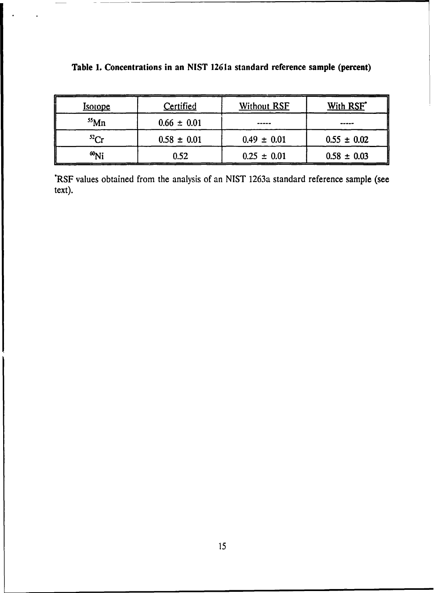| <u>Isotope</u> | Certified       | <b>Without RSF</b> | With RSF <sup>*</sup> |
|----------------|-----------------|--------------------|-----------------------|
| $55$ Mn        | $0.66 \pm 0.01$ |                    | -----                 |
| $^{52}Cr$      | $0.58 \pm 0.01$ | $0.49 \pm 0.01$    | $0.55 \pm 0.02$       |
| $^{60}$ Ni     | 0.52            | $0.25 \pm 0.01$    | $0.58 \pm 0.03$       |

# Table **1.** Concentrations in an **NIST** 1261a standard reference sample (percent)

'RSF values obtained from the analysis of an NIST 1263a standard reference sample (see text).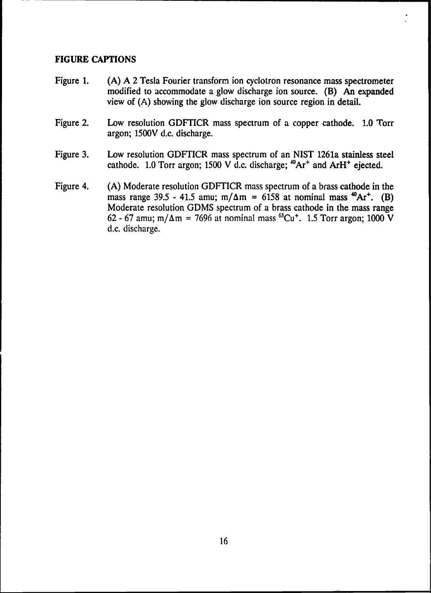# **FIGURE CAPTIONS**

- Figure **1. (A) A** 2 Tesla Fourier transform ion cyclotron resonance mass spectrometer modified to accommodate a glow discharge ion source. (B) An expanded view of **(A)** showing the glow discharge ion source region in detail.
- Figure 2. Low resolution GDFTICR mass spectrum of a copper cathode. **1.0** Torr argon; **1500V** d.c. discharge.
- Figure **3.** Low resolution GDFTICR mass spectrum of an NIST 1261a stainless steel cathode. 1.0 Torr argon; 1500 V d.c. discharge;  $^{40}Ar^{+}$  and ArH<sup>+</sup> ejected.
- Figure 4. (A) Moderate resolution GDFTICR mass spectrum of a brass cathode in the mass range 39.5 - 41.5 amu;  $m/\Delta m = 6158$  at nominal mass  $^{40}Ar^{+}$ . (B) Moderate resolution GDMS spectrum of a brass cathode in the mass range 62 - 67 amu; m/ $\Delta m = 7696$  at nominal mass <sup>63</sup>Cu<sup>+</sup>. 1.5 Torr argon; 1000 V d.c. discharge.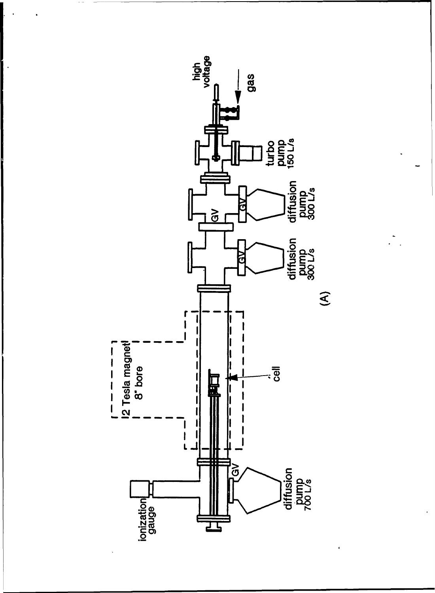

÷,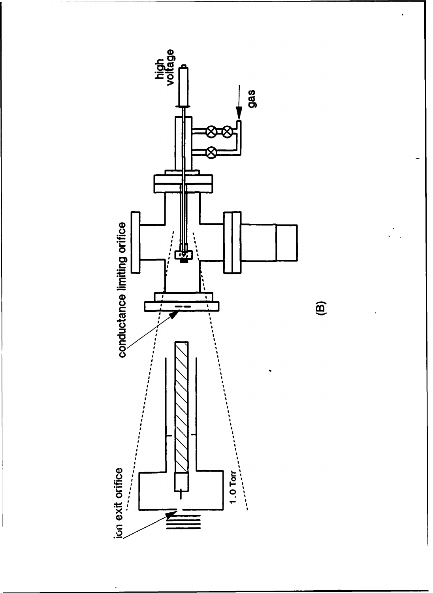

 $\widehat{\mathbf{e}}$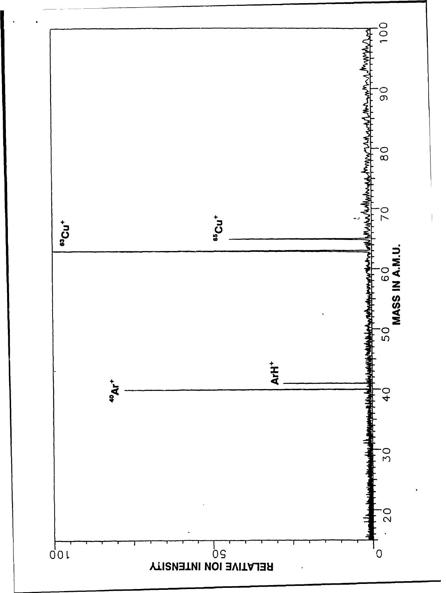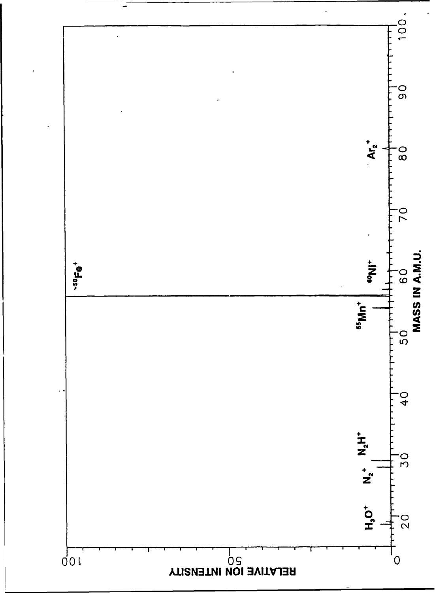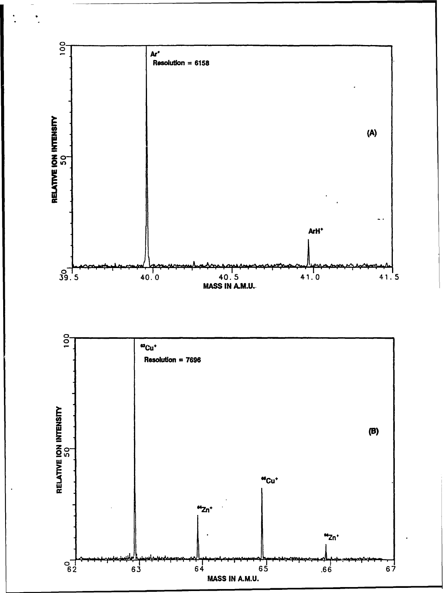